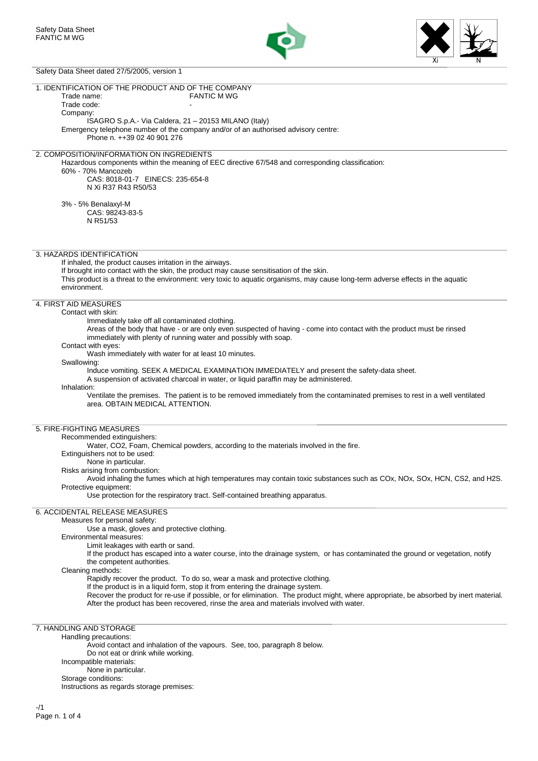



# Safety Data Sheet dated 27/5/2005, version 1

| $\alpha$ of $\alpha$ $\beta$ of $\beta$ of $\alpha$ of $\alpha$ of $\alpha$ of $\alpha$ of $\beta$ of $\alpha$ of $\beta$ of $\beta$           |
|------------------------------------------------------------------------------------------------------------------------------------------------|
| 1. IDENTIFICATION OF THE PRODUCT AND OF THE COMPANY                                                                                            |
| <b>FANTIC M WG</b><br>Trade name:                                                                                                              |
| Trade code:                                                                                                                                    |
| Company:                                                                                                                                       |
| ISAGRO S.p.A.- Via Caldera, 21 - 20153 MILANO (Italy)                                                                                          |
| Emergency telephone number of the company and/or of an authorised advisory centre:                                                             |
| Phone n. ++39 02 40 901 276                                                                                                                    |
|                                                                                                                                                |
| 2. COMPOSITION/INFORMATION ON INGREDIENTS<br>Hazardous components within the meaning of EEC directive 67/548 and corresponding classification: |
| 60% - 70% Mancozeb                                                                                                                             |
| CAS: 8018-01-7 EINECS: 235-654-8                                                                                                               |
| N Xi R37 R43 R50/53                                                                                                                            |
|                                                                                                                                                |
| 3% - 5% Benalaxyl-M                                                                                                                            |
| CAS: 98243-83-5                                                                                                                                |
| N R51/53                                                                                                                                       |
|                                                                                                                                                |
|                                                                                                                                                |
| 3. HAZARDS IDENTIFICATION                                                                                                                      |
| If inhaled, the product causes irritation in the airways.                                                                                      |
| If brought into contact with the skin, the product may cause sensitisation of the skin.                                                        |
| This product is a threat to the environment: very toxic to aquatic organisms, may cause long-term adverse effects in the aquatic               |
| environment.                                                                                                                                   |
| 4. FIRST AID MEASURES                                                                                                                          |
| Contact with skin:                                                                                                                             |
| Immediately take off all contaminated clothing.                                                                                                |
| Areas of the body that have - or are only even suspected of having - come into contact with the product must be rinsed                         |
| immediately with plenty of running water and possibly with soap.                                                                               |
| Contact with eyes:                                                                                                                             |
| Wash immediately with water for at least 10 minutes.                                                                                           |
| Swallowing:                                                                                                                                    |
| Induce vomiting. SEEK A MEDICAL EXAMINATION IMMEDIATELY and present the safety-data sheet.                                                     |
| A suspension of activated charcoal in water, or liquid paraffin may be administered.<br>Inhalation:                                            |
| Ventilate the premises. The patient is to be removed immediately from the contaminated premises to rest in a well ventilated                   |
| area, OBTAIN MEDICAL ATTENTION.                                                                                                                |
|                                                                                                                                                |
| 5. FIRE-FIGHTING MEASURES                                                                                                                      |
| Recommended extinguishers:                                                                                                                     |
| Water, CO2, Foam, Chemical powders, according to the materials involved in the fire.                                                           |
| Extinguishers not to be used:                                                                                                                  |
| None in particular.                                                                                                                            |
| Risks arising from combustion:                                                                                                                 |
| Avoid inhaling the fumes which at high temperatures may contain toxic substances such as COx, NOx, SOx, HCN, CS2, and H2S.                     |
| Protective equipment:                                                                                                                          |
| Use protection for the respiratory tract. Self-contained breathing apparatus.                                                                  |
| 6. ACCIDENTAL RELEASE MEASURES                                                                                                                 |
| Measures for personal safety:                                                                                                                  |
| Use a mask, gloves and protective clothing.                                                                                                    |
| Environmental measures:                                                                                                                        |
| Limit leakages with earth or sand.                                                                                                             |
| If the product has escaped into a water course, into the drainage system, or has contaminated the ground or vegetation, notify                 |
| the competent authorities.                                                                                                                     |
| Cleaning methods:                                                                                                                              |
| Rapidly recover the product. To do so, wear a mask and protective clothing.                                                                    |
| If the product is in a liquid form, stop it from entering the drainage system.                                                                 |
| Recover the product for re-use if possible, or for elimination. The product might, where appropriate, be absorbed by inert material.           |
| After the product has been recovered, rinse the area and materials involved with water.                                                        |
|                                                                                                                                                |
| 7. HANDLING AND STORAGE                                                                                                                        |
| Handling precautions:                                                                                                                          |
| Avoid contact and inhalation of the vapours. See, too, paragraph 8 below.                                                                      |
| Do not eat or drink while working.<br>Incompatible materials:                                                                                  |
| None in particular.                                                                                                                            |
| Storage conditions:                                                                                                                            |
| Instructions as regards storage premises:                                                                                                      |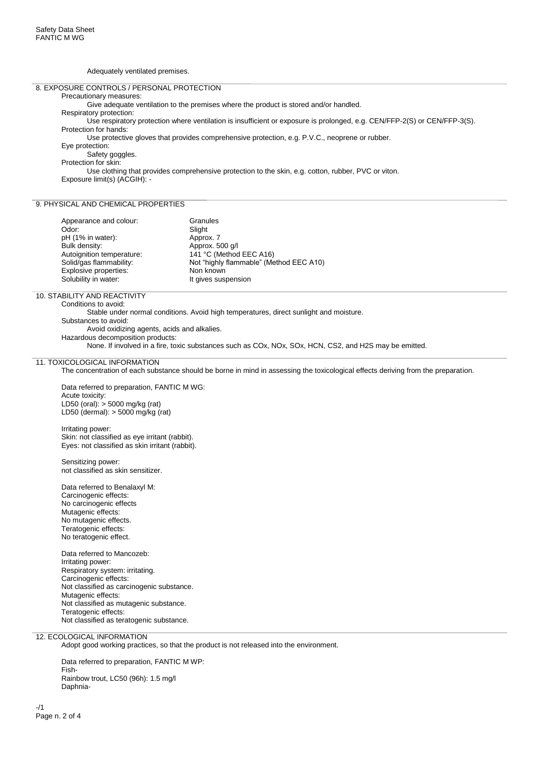Adequately ventilated premises.

#### 8. EXPOSURE CONTROLS / PERSONAL PROTECTION

#### Precautionary measures:

Give adequate ventilation to the premises where the product is stored and/or handled.

Respiratory protection:

Use respiratory protection where ventilation is insufficient or exposure is prolonged, e.g. CEN/FFP-2(S) or CEN/FFP-3(S). Protection for hands:

Use protective gloves that provides comprehensive protection, e.g. P.V.C., neoprene or rubber.

Eye protection:

Safety goggles.

Protection for skin:

Use clothing that provides comprehensive protection to the skin, e.g. cotton, rubber, PVC or viton. Exposure limit(s) (ACGIH): -

#### 9. PHYSICAL AND CHEMICAL PROPERTIES

| Appearance and colour:    | Granules                                |
|---------------------------|-----------------------------------------|
| Odor:                     | Slight                                  |
| pH (1% in water):         | Approx. 7                               |
| Bulk density:             | Approx. 500 g/l                         |
| Autoignition temperature: | 141 °C (Method EEC A16)                 |
| Solid/gas flammability:   | Not "highly flammable" (Method EEC A10) |
| Explosive properties:     | Non known                               |
| Solubility in water:      | It gives suspension                     |

## 10. STABILITY AND REACTIVITY

Conditions to avoid:

Stable under normal conditions. Avoid high temperatures, direct sunlight and moisture. Substances to avoid:

Avoid oxidizing agents, acids and alkalies.

Hazardous decomposition products:

None. If involved in a fire, toxic substances such as COx, NOx, SOx, HCN, CS2, and H2S may be emitted.

#### 11. TOXICOLOGICAL INFORMATION

The concentration of each substance should be borne in mind in assessing the toxicological effects deriving from the preparation.

Data referred to preparation, FANTIC M WG: Acute toxicity: LD50 (oral): > 5000 mg/kg (rat) LD50 (dermal): > 5000 mg/kg (rat)

Irritating power:

Skin: not classified as eye irritant (rabbit). Eyes: not classified as skin irritant (rabbit).

Sensitizing power: not classified as skin sensitizer.

Data referred to Benalaxyl M: Carcinogenic effects: No carcinogenic effects Mutagenic effects: No mutagenic effects. Teratogenic effects: No teratogenic effect.

Data referred to Mancozeb: Irritating power: Respiratory system: irritating. Carcinogenic effects: Not classified as carcinogenic substance. Mutagenic effects: Not classified as mutagenic substance. Teratogenic effects: Not classified as teratogenic substance.

## 12. ECOLOGICAL INFORMATION

Adopt good working practices, so that the product is not released into the environment.

Data referred to preparation, FANTIC M WP: Fish-Rainbow trout, LC50 (96h): 1.5 mg/l Daphnia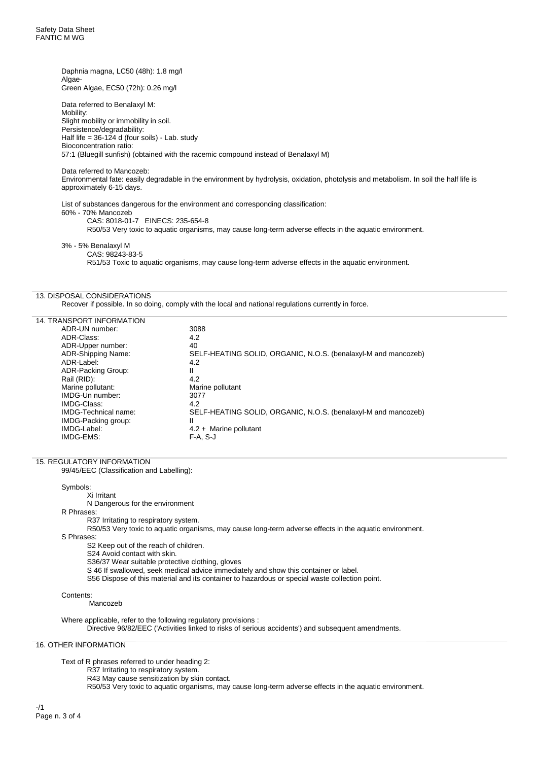Daphnia magna, LC50 (48h): 1.8 mg/l Algae-Green Algae, EC50 (72h): 0.26 mg/l

Data referred to Benalaxyl M: Mobility: Slight mobility or immobility in soil. Persistence/degradability: Half life =  $36-124$  d (four soils) - Lab. study Bioconcentration ratio: 57:1 (Bluegill sunfish) (obtained with the racemic compound instead of Benalaxyl M)

Data referred to Mancozeb:

Environmental fate: easily degradable in the environment by hydrolysis, oxidation, photolysis and metabolism. In soil the half life is approximately 6-15 days.

List of substances dangerous for the environment and corresponding classification: 60% - 70% Mancozeb CAS: 8018-01-7 EINECS: 235-654-8 R50/53 Very toxic to aquatic organisms, may cause long-term adverse effects in the aquatic environment.

3% - 5% Benalaxyl M CAS: 98243-83-5

R51/53 Toxic to aquatic organisms, may cause long-term adverse effects in the aquatic environment.

### 13. DISPOSAL CONSIDERATIONS

Recover if possible. In so doing, comply with the local and national regulations currently in force.

| 14. TRANSPORT INFORMATION   |                                                                |
|-----------------------------|----------------------------------------------------------------|
| ADR-UN number:              | 3088                                                           |
| ADR-Class:                  | 4.2                                                            |
| ADR-Upper number:           | 40                                                             |
| ADR-Shipping Name:          | SELF-HEATING SOLID, ORGANIC, N.O.S. (benalaxyl-M and mancozeb) |
| ADR-Label:                  | 4.2                                                            |
| ADR-Packing Group:          | Ш                                                              |
| Rail (RID):                 | 4.2                                                            |
| Marine pollutant:           | Marine pollutant                                               |
| IMDG-Un number:             | 3077                                                           |
| IMDG-Class:                 | 4.2                                                            |
| <b>IMDG-Technical name:</b> | SELF-HEATING SOLID, ORGANIC, N.O.S. (benalaxyl-M and mancozeb) |
| IMDG-Packing group:         | Ш                                                              |
| IMDG-Label:                 | $4.2 +$ Marine pollutant                                       |
| IMDG-EMS:                   | $F-A. S-J$                                                     |
|                             |                                                                |

#### 15. REGULATORY INFORMATION

99/45/EEC (Classification and Labelling):

Symbols:

Xi Irritant N Dangerous for the environment R Phrases:

R37 Irritating to respiratory system.

R50/53 Very toxic to aquatic organisms, may cause long-term adverse effects in the aquatic environment.

S Phrases:

S2 Keep out of the reach of children.

S24 Avoid contact with skin.

S36/37 Wear suitable protective clothing, gloves

S 46 If swallowed, seek medical advice immediately and show this container or label.

S56 Dispose of this material and its container to hazardous or special waste collection point.

#### Contents:

Mancozeb

Where applicable, refer to the following regulatory provisions : Directive 96/82/EEC ('Activities linked to risks of serious accidents') and subsequent amendments.

16. OTHER INFORMATION

Text of R phrases referred to under heading 2:

R37 Irritating to respiratory system.

R43 May cause sensitization by skin contact.

R50/53 Very toxic to aquatic organisms, may cause long-term adverse effects in the aquatic environment.